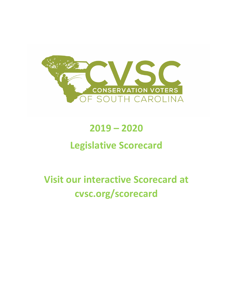

## **2019 – 2020**

## **Legislative Scorecard**

# **Visit our interactive Scorecard at cvsc.org/scorecard**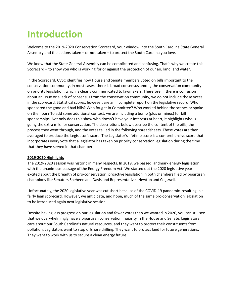## **Introduction**

Welcome to the 2019-2020 Conservation Scorecard, your window into the South Carolina State General Assembly and the actions taken – or not taken – to protect the South Carolina you love.

We know that the State General Assembly can be complicated and confusing. That's why we create this Scorecard – to show you who is working for or against the protection of our air, land, and water.

In the Scorecard, CVSC identifies how House and Senate members voted on bills important to the conservation community. In most cases, there is broad consensus among the conservation community on priority legislation, which is clearly communicated to lawmakers. Therefore, if there is confusion about an issue or a lack of consensus from the conservation community, we do not include those votes in the scorecard. Statistical scores, however, are an incomplete report on the legislative record. Who sponsored the good and bad bills? Who fought in Committee? Who worked behind the scenes or spoke on the floor? To add some additional context, we are including a bump (plus or minus) for bill sponsorships. Not only does this show who doesn't have your interests at heart, it highlights who is going the extra mile for conservation. The descriptions below describe the content of the bills, the process they went through, and the votes tallied in the following spreadsheets. Those votes are then averaged to produce the Legislator's score. The Legislator's lifetime score is a comprehensive score that incorporates every vote that a legislator has taken on priority conservation legislation during the time that they have served in that chamber.

#### **2019-2020 Highlights**

The 2019-2020 session was historic in many respects. In 2019, we passed landmark energy legislation with the unanimous passage of the Energy Freedom Act. We started out the 2020 legislative year excited about the breadth of pro-conservation, proactive legislation in both chambers filed by bipartisan champions like Senators Sheheen and Davis and Representatives Newton and Cogswell.

Unfortunately, the 2020 legislative year was cut short because of the COVID-19 pandemic, resulting in a fairly lean scorecard. However, we anticipate, and hope, much of the same pro-conservation legislation to be introduced again next legislative session.

Despite having less progress on our legislation and fewer votes than we wanted in 2020, you can still see that we overwhelmingly have a bipartisan conservation majority in the House and Senate. Legislators care about our South Carolina's natural resources, and they want to protect their constituents from pollution. Legislators want to stop offshore drilling. They want to protect land for future generations. They want to work with us to secure a clean energy future.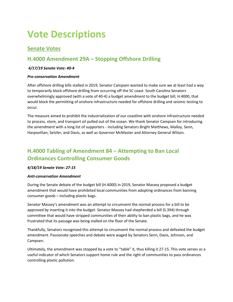## **Vote Descriptions**

## **Senate Votes**

## **H.4000 Amendment 29A – Stopping Offshore Drilling**

#### *4/17/19 Senate Vote: 40-4*

#### *Pro-conservation Amendment*

After offshore drilling bills stalled in 2019, Senator Campsen wanted to make sure we at least had a way to temporarily block offshore drilling from occurring off the SC coast. South Carolina Senators overwhelmingly approved (with a vote of 40-4) a budget amendment to the budget bill, H.4000, that would block the permitting of onshore infrastructure needed for offshore drilling and seismic testing to occur.

The measure aimed to prohibit the industrialization of our coastline with onshore infrastructure needed to process, store, and transport oil pulled out of the ocean. We thank Senator Campsen for introducing the amendment with a long list of supporters - including Senators Bright Matthews, Malloy, Senn, Harpootlian, Setzler, and Davis, as well as Governor McMaster and Attorney General Wilson.

## **H.4000 Tabling of Amendment 84 – Attempting to Ban Local Ordinances Controlling Consumer Goods**

#### *4/18/19 Senate Vote: 27-15*

#### *Anti-conservation Amendment*

During the Senate debate of the budget bill (H.4000) in 2019, Senator Massey proposed a budget amendment that would have prohibited local communities from adopting ordinances from banning consumer goods – including plastic bags.

Senator Massey's amendment was an attempt to circumvent the normal process for a bill to be approved by inserting it into the budget. Senator Massey had shepherded a bill (S.394) through committee that would have stripped communities of their ability to ban plastic bags, and he was frustrated that its passage was being stalled on the floor of the Senate.

Thankfully, Senators recognized this attempt to circumvent the normal process and defeated the budget amendment. Passionate speeches and debate were waged by Senators Senn, Davis, Johnson, and Campsen.

Ultimately, the amendment was stopped by a vote to "table" it, thus killing it 27-15. This vote serves as a useful indicator of which Senators support home rule and the right of communities to pass ordinances controlling plastic pollution.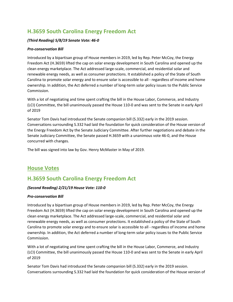## **H.3659 South Carolina Energy Freedom Act**

#### *(Third Reading) 5/8/19 Senate Vote: 46-0*

#### *Pro-conservation Bill*

Introduced by a bipartisan group of House members in 2019, led by Rep. Peter McCoy, the Energy Freedom Act (H.3659) lifted the cap on solar energy development in South Carolina and opened up the clean energy marketplace. The Act addressed large-scale, commercial, and residential solar and renewable energy needs, as well as consumer protections. It established a policy of the State of South Carolina to promote solar energy and to ensure solar is accessible to all - regardless of income and home ownership. In addition, the Act deferred a number of long-term solar policy issues to the Public Service Commission.

With a lot of negotiating and time spent crafting the bill in the House Labor, Commerce, and Industry (LCI) Committee, the bill unanimously passed the House 110-0 and was sent to the Senate in early April of 2019

Senator Tom Davis had introduced the Senate companion bill (S.332) early in the 2019 session. Conversations surrounding S.332 had laid the foundation for quick consideration of the House version of the Energy Freedom Act by the Senate Judiciary Committee. After further negotiations and debate in the Senate Judiciary Committee, the Senate passed H.3659 with a unanimous vote 46-0, and the House concurred with changes.

The bill was signed into law by Gov. Henry McMaster in May of 2019.

### **House Votes**

### **H.3659 South Carolina Energy Freedom Act**

#### *(Second Reading) 2/21/19 House Vote: 110-0*

#### *Pro-conservation Bill*

Introduced by a bipartisan group of House members in 2019, led by Rep. Peter McCoy, the Energy Freedom Act (H.3659) lifted the cap on solar energy development in South Carolina and opened up the clean energy marketplace. The Act addressed large-scale, commercial, and residential solar and renewable energy needs, as well as consumer protections. It established a policy of the State of South Carolina to promote solar energy and to ensure solar is accessible to all - regardless of income and home ownership. In addition, the Act deferred a number of long-term solar policy issues to the Public Service Commission.

With a lot of negotiating and time spent crafting the bill in the House Labor, Commerce, and Industry (LCI) Committee, the bill unanimously passed the House 110-0 and was sent to the Senate in early April of 2019

Senator Tom Davis had introduced the Senate companion bill (S.332) early in the 2019 session. Conversations surrounding S.332 had laid the foundation for quick consideration of the House version of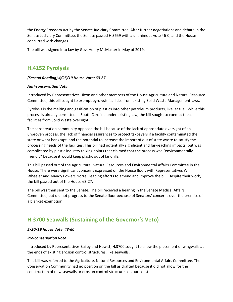the Energy Freedom Act by the Senate Judiciary Committee. After further negotiations and debate in the Senate Judiciary Committee, the Senate passed H.3659 with a unanimous vote 46-0, and the House concurred with changes.

The bill was signed into law by Gov. Henry McMaster in May of 2019.

### **H.4152 Pyrolysis**

#### *(Second Reading) 4/25/19 House Vote: 63-27*

#### *Anti-conservation Vote*

Introduced by Representatives Hixon and other members of the House Agriculture and Natural Resource Committee, this bill sought to exempt pyrolysis facilities from existing Solid Waste Management laws.

Pyrolysis is the melting and gasification of plastics into other petroleum products, like jet fuel. While this process is already permitted in South Carolina under existing law, the bill sought to exempt these facilities from Solid Waste oversight.

The conservation community opposed the bill because of the lack of appropriate oversight of an unproven process, the lack of financial assurances to protect taxpayers if a facility contaminated the state or went bankrupt, and the potential to increase the import of out of state waste to satisfy the processing needs of the facilities. This bill had potentially significant and far-reaching impacts, but was complicated by plastic industry talking points that claimed that the process was "environmentally friendly" because it would keep plastic out of landfills.

This bill passed out of the Agriculture, Natural Resources and Environmental Affairs Committee in the House. There were significant concerns expressed on the House floor, with Representatives Will Wheeler and Mandy Powers Norrell leading efforts to amend and improve the bill. Despite their work, the bill passed out of the House 63-27.

The bill was then sent to the Senate. The bill received a hearing in the Senate Medical Affairs Committee, but did not progress to the Senate floor because of Senators' concerns over the premise of a blanket exemption

## **H.3700 Seawalls (Sustaining of the Governor's Veto)**

#### *5/20/19 House Vote: 43-60*

#### *Pro-conservation Vote*

Introduced by Representatives Bailey and Hewitt, H.3700 sought to allow the placement of wingwalls at the ends of existing erosion control structures, like seawalls.

This bill was referred to the Agriculture, Natural Resources and Environmental Affairs Committee. The Conservation Community had no position on the bill as drafted because it did not allow for the construction of new seawalls or erosion control structures on our coast.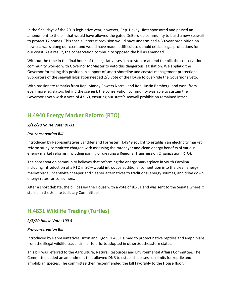In the final days of the 2019 legislative year, however, Rep. Davey Hiott sponsored and passed an amendment to the bill that would have allowed the gated DeBordieu community to build a new seawall to protect 17 homes. This special interest provision would have undermined a 30-year prohibition on new sea walls along our coast and would have made it difficult to uphold critical legal protections for our coast. As a result, the conservation community opposed the bill as amended.

Without the time in the final hours of the legislative session to stop or amend the bill, the conservation community worked with Governor McMaster to veto this dangerous legislation. We applaud the Governor for taking this position in support of smart shoreline and coastal management protections. Supporters of the seawall legislation needed 2/3 vote of the House to over-ride the Governor's veto.

With passionate remarks from Rep. Mandy Powers Norrell and Rep. Justin Bamberg (and work from even more legislators behind the scenes), the conservation community was able to sustain the Governor's veto with a vote of 43-60, ensuring our state's seawall prohibition remained intact.

## **H.4940 Energy Market Reform (RTO)**

#### *2/12/20 House Vote: 81-31*

#### *Pro-conservation Bill*

Introduced by Representatives Sandifer and Forrester, H.4949 sought to establish an electricity market reform study committee charged with assessing the ratepayer and clean energy benefits of various energy market reforms, including joining or creating a Regional Transmission Organization (RTO).

The conservation community believes that reforming the energy marketplace in South Carolina – including introduction of a RTO in SC – would introduce additional competition into the clean energy marketplace, incentivize cheaper and cleaner alternatives to traditional energy sources, and drive down energy rates for consumers.

After a short debate, the bill passed the House with a vote of 81-31 and was sent to the Senate where it stalled in the Senate Judiciary Committee.

### **H.4831 Wildlife Trading (Turtles)**

#### *2/5/20 House Vote: 100-5*

#### *Pro-conservation Bill*

Introduced by Representatives Hixon and Ligon, H.4831 aimed to protect native reptiles and amphibians from the illegal wildlife trade, similar to efforts adopted in other Southeastern states.

This bill was referred to the Agriculture, Natural Resources and Environmental Affairs Committee. The Committee added an amendment that allowed DNR to establish possession limits for reptile and amphibian species. The committee then recommended the bill favorably to the House floor.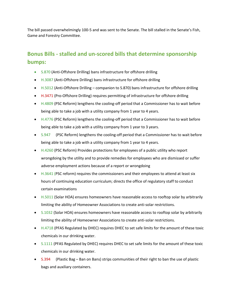The bill passed overwhelmingly 100-5 and was sent to the Senate. The bill stalled in the Senate's Fish, Game and Forestry Committee.

## **Bonus Bills - stalled and un-scored bills that determine sponsorship bumps:**

- S.870 (Anti-Offshore Drilling) bans infrastructure for offshore drilling
- H.3087 (Anti-Offshore Drilling) bans infrastructure for offshore drilling
- H.5012 (Anti-Offshore Drilling companion to S.870) bans infrastructure for offshore drilling
- H.3471 (Pro-Offshore Drilling) requires permitting of infrastructure for offshore drilling
- H.4809 (PSC Reform) lengthens the cooling-off period that a Commissioner has to wait before being able to take a job with a utility company from 1 year to 4 years.
- H.4776 (PSC Reform) lengthens the cooling-off period that a Commissioner has to wait before being able to take a job with a utility company from 1 year to 3 years.
- S.947 (PSC Reform) lengthens the cooling-off period that a Commissioner has to wait before being able to take a job with a utility company from 1 year to 4 years.
- H.4260 (PSC Reform) Provides protections for employees of a public utility who report wrongdoing by the utility and to provide remedies for employees who are dismissed or suffer adverse employment actions because of a report or wrongdoing
- H.3641 (PSC reform) requires the commissioners and their employees to attend at least six hours of continuing education curriculum; directs the office of regulatory staff to conduct certain examinations
- **•** H.5011 (Solar HOA) ensures homeowners have reasonable access to rooftop solar by arbitrarily limiting the ability of Homeowner Associations to create anti-solar restrictions.
- S.1032 (Solar HOA) ensures homeowners have reasonable access to rooftop solar by arbitrarily limiting the ability of Homeowner Associations to create anti-solar restrictions.
- **H.4718 (PFAS Regulated by DHEC) requires DHEC to set safe limits for the amount of these toxic** chemicals in our drinking water.
- S.1111 (PFAS Regulated by DHEC) requires DHEC to set safe limits for the amount of these toxic chemicals in our drinking water.
- S.394 (Plastic Bag Ban on Bans) strips communities of their right to ban the use of plastic bags and auxiliary containers.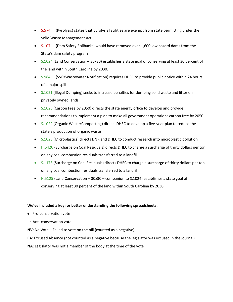- S.574 (Pyrolysis) states that pyrolysis facilities are exempt from state permitting under the Solid Waste Management Act.
- S.107 (Dam Safety Rollbacks) would have removed over 1,600 low hazard dams from the State's dam safety program
- S.1024 (Land Conservation 30x30) establishes a state goal of conserving at least 30 percent of the land within South Carolina by 2030.
- S.984 (SSO/Wastewater Notification) requires DHEC to provide public notice within 24 hours of a major spill
- S.1021 (Illegal Dumping) seeks to increase penalties for dumping solid waste and litter on privately owned lands
- S.1025 (Carbon Free by 2050) directs the state energy office to develop and provide recommendations to implement a plan to make all government operations carbon free by 2050
- S.1022 (Organic Waste/Composting) directs DHEC to develop a five-year plan to reduce the state's production of organic waste
- S.1023 (Microplastics) directs DNR and DHEC to conduct research into microplastic pollution
- H.5420 (Surcharge on Coal Residuals) directs DHEC to charge a surcharge of thirty dollars per ton on any coal combustion residuals transferred to a landfill
- S.1173 (Surcharge on Coal Residuals) directs DHEC to charge a surcharge of thirty dollars per ton on any coal combustion residuals transferred to a landfill
- $\bullet$  H.5125 (Land Conservation 30x30 companion to S.1024) establishes a state goal of conserving at least 30 percent of the land within South Carolina by 2030

#### **We've included a key for better understanding the following spreadsheets:**

- **+** : Pro-conservation vote
- **-** : Anti-conservation vote
- **NV**: No Vote Failed to vote on the bill (counted as a negative)
- **EA**: Excused Absence (not counted as a negative because the legislator was excused in the journal)
- **NA**: Legislator was not a member of the body at the time of the vote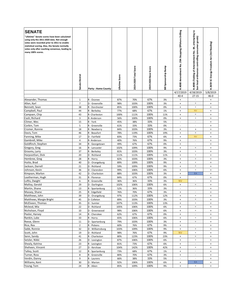| <b>SENATE</b>                                                                                                                                                                                                                                                       |                      |                                |                |                       |                      |                       |                                                                  |                                                                                                    |                                                        |
|---------------------------------------------------------------------------------------------------------------------------------------------------------------------------------------------------------------------------------------------------------------------|----------------------|--------------------------------|----------------|-----------------------|----------------------|-----------------------|------------------------------------------------------------------|----------------------------------------------------------------------------------------------------|--------------------------------------------------------|
| "Lifetime" Senate scores have been calculated<br>using only the 2011-2020 data. Not enough<br>votes were recorded prior to 2011 to enable<br>statistical scoring. Also, the Senate normally<br>votes only after reaching consensus, leading to<br>many 100% scores. |                      |                                |                |                       |                      |                       |                                                                  | attempting to<br><b>s4</b> ,                                                                       |                                                        |
|                                                                                                                                                                                                                                                                     | Senate District      | <b>Party - Home County</b>     | Lifetime Score | 2019-2020 Total Score | 2019-2020 Base Score | Bill Sponsorship Bump | H.4000 Amendment No. 29A Stopping Offshore Drilling<br>4/17/2019 | ban local ordinances controlling consumer goods)<br>H.4000 (Tabling of Amendement No.<br>4/18/2019 | H.3659 SC Energy Freedom Act (3rd Reading)<br>5/8/2019 |
|                                                                                                                                                                                                                                                                     |                      |                                |                |                       |                      |                       | $40 - 4$                                                         | $27 - 15$                                                                                          | 46-0                                                   |
| Alexander, Thomas                                                                                                                                                                                                                                                   | 1                    | R - Oconee                     | 87%            | 70%                   | 67%                  | 3%                    | $\ddot{}$                                                        |                                                                                                    | $\ddot{}$                                              |
| Allen, Karl                                                                                                                                                                                                                                                         | $\overline{7}$       | D - Greenville                 | 98%            | 103%                  | 100%                 | 3%                    | $\begin{array}{c} + \end{array}$                                 | $\ast$                                                                                             | $\ddot{}$                                              |
| Bennett, Sean                                                                                                                                                                                                                                                       | 38                   | R - Dorchester                 | 85%            | 100%                  | 100%                 | 0%                    | $\ddot{}$                                                        | $\begin{array}{c} + \end{array}$                                                                   | $+$                                                    |
| Campbell, Paul                                                                                                                                                                                                                                                      | 44                   | R - Berkeley                   | 77%            | 68%                   | 67%                  | 1%                    | $\ddot{}$                                                        | <b>NV</b>                                                                                          | $\ddot{}$                                              |
| Campsen, Chip                                                                                                                                                                                                                                                       | 43                   | R- Charleston                  | 100%           | 111%                  | 100%                 | 11%                   | $\ddot{}$                                                        | $^{\mathrm{+}}$                                                                                    | $+$                                                    |
| Cash, Richard                                                                                                                                                                                                                                                       | 3                    | R-Anderson                     | 56%            | 100%                  | 100%                 | 0%                    | $\ddot{}$                                                        | $\qquad \qquad +$                                                                                  | $+$                                                    |
| Climer, Wes                                                                                                                                                                                                                                                         | 15                   | R - York                       | 45%            | 38%                   | 33%                  | 5%                    | $\sim$                                                           | ä,                                                                                                 | $\ddot{}$                                              |
| Corbin, Tom                                                                                                                                                                                                                                                         | 5                    | R - Greenville                 | 61%            | 33%                   | 33%                  | 0%                    | ÷,                                                               | ä,                                                                                                 | $\ddot{}$                                              |
| Cromer, Ronnie                                                                                                                                                                                                                                                      | 18                   | R - Newberry                   | 84%            | 103%                  | 100%                 | 3%                    | $\ddot{}$                                                        | $\begin{array}{c} + \end{array}$                                                                   | $\ddot{}$                                              |
| Davis, Tom                                                                                                                                                                                                                                                          | 46                   | R - Beaufort                   | 78%            | 119%                  | 100%                 | 19%                   | $\ddot{}$                                                        | $\ddot{}$                                                                                          | $\ddot{}$                                              |
| Fanning, Mike                                                                                                                                                                                                                                                       | 17                   | D - Fairfield                  | 83%            | 73%                   | 67%                  | 6%                    | $\begin{array}{c} + \end{array}$                                 | <b>NV</b><br>$\sim$                                                                                | $+$                                                    |
| Gambrell, Mike                                                                                                                                                                                                                                                      | 4                    | R-Anderson                     | 40%            | 76%                   | 67%                  | 9%                    | $\ddot{}$                                                        |                                                                                                    | $\ddot{}$                                              |
| Goldfinch, Stephen                                                                                                                                                                                                                                                  | 34<br>16             | R - Georgetown                 | 49%            | 67%                   | 67%<br>100%          | 0%<br>9%              | $\begin{array}{c} + \end{array}$                                 |                                                                                                    | $\ddot{}$                                              |
| Gregory, Greg<br>Grooms, Larry                                                                                                                                                                                                                                      | 37                   | R - Lancaster<br>R - Berkeley  | 102%<br>81%    | 109%<br>103%          | 100%                 | 3%                    | $\ddot{}$<br>$\ddot{}$                                           | $\begin{array}{c} + \end{array}$<br>$\ddot{}$                                                      | $\ddot{}$<br>$\ddot{}$                                 |
| Harpootlian, Dick                                                                                                                                                                                                                                                   | 20                   | D - Richland                   | 111%           | 111%                  | 100%                 | 11%                   | $\ddot{}$                                                        | $\begin{array}{c} + \end{array}$                                                                   | $+$                                                    |
| Hembree, Greg                                                                                                                                                                                                                                                       | 28                   | R - Horry                      | 82%            | 103%                  | 100%                 | 3%                    | $\ddot{}$                                                        | $\begin{array}{c} + \end{array}$                                                                   | $\ddot{}$                                              |
| Hutto, Brad                                                                                                                                                                                                                                                         | 40                   | D - Orangeburg                 | 89%            | 109%                  | 100%                 | 9%                    | $\ddot{}$                                                        | $\begin{array}{c} + \end{array}$                                                                   | $\ddot{}$                                              |
| Jackson, Darrell                                                                                                                                                                                                                                                    | 21                   | D - Richland                   | 59%            | 109%                  | 100%                 | 9%                    | $+$                                                              | $^{\mathrm{+}}$                                                                                    | $+$                                                    |
| Johnson, Kevin                                                                                                                                                                                                                                                      | 36                   | D - Clarendon                  | 99%            | 106%                  | 100%                 | 6%                    | $\begin{array}{c} + \end{array}$                                 | $\qquad \qquad +$                                                                                  | $\ddot{}$                                              |
| Kimpson, Marlon                                                                                                                                                                                                                                                     | 42                   | D - Charleston                 | 88%            | 103%                  | 100%                 | 3%                    | $\ddot{}$                                                        | EA                                                                                                 | $\ddot{}$                                              |
| Leatherman, Hugh                                                                                                                                                                                                                                                    | 31                   | R - Florence                   | 84%            | 67%                   | 67%                  | 0%                    | $\ddot{}$                                                        | $\sim$                                                                                             | $\ddot{}$                                              |
| Loftis, Dwight                                                                                                                                                                                                                                                      | 6                    | R - Greenville                 | 36%            | 36%                   | 33%                  | 3%                    | <b>NV</b>                                                        | ٠                                                                                                  | $\ddot{}$                                              |
| Malloy, Gerald                                                                                                                                                                                                                                                      | 29                   | D - Darlington                 | 102%           | 106%                  | 100%                 | 6%                    | $\begin{array}{c} + \end{array}$                                 | $^{\mathrm{+}}$                                                                                    | $\ddot{}$                                              |
| Martin, Shane                                                                                                                                                                                                                                                       | 13                   | R - Spartanburg                | 52%            | 36%                   | 33%                  | 3%                    | $\overline{\phantom{a}}$                                         | $\overline{\phantom{a}}$                                                                           | $\ddot{}$                                              |
| Massey, Shane                                                                                                                                                                                                                                                       | 25                   | R - Edgefield                  | 76%            | 70%                   | 67%                  | 3%                    | $\begin{array}{c} + \end{array}$                                 |                                                                                                    | $\ddot{}$                                              |
| Matthews, John                                                                                                                                                                                                                                                      | 39                   | D - Orangeburg                 | 97%            | 112%                  | 100%                 | 12%                   | $\ddot{}$                                                        | $\begin{array}{c} + \end{array}$                                                                   | $\ddot{}$                                              |
| Matthews, Margie Bright                                                                                                                                                                                                                                             | 45                   | D- Colleton                    | 89%            | 103%                  | 100%                 | 3%                    | $\ddot{}$                                                        | $\begin{array}{c} + \end{array}$                                                                   | $\ddot{}$                                              |
| McElveen, Thomas                                                                                                                                                                                                                                                    | 35                   | D - Sumter                     | 107%           | 113%                  | 100%                 | 13%                   | $\ddot{}$                                                        | $^{\mathrm{+}}$                                                                                    | $\ddot{}$                                              |
| Mcleod, Mia                                                                                                                                                                                                                                                         | 22                   | D - Richland                   | 105%           | 106%                  | 100%                 | 6%                    | $\ddot{}$                                                        | $\begin{array}{c} + \end{array}$                                                                   | $+$                                                    |
| Nicholson, Floyd                                                                                                                                                                                                                                                    | 10                   | D - Greenwood                  | 98%            | 106%                  | 100%                 | 6%                    | $\begin{array}{c} + \end{array}$                                 | $\ddot{}$                                                                                          | $+$                                                    |
| Peeler, Harvey                                                                                                                                                                                                                                                      | 14                   | R - Cherokee                   | 62%            | 67%                   | 67%                  | 0%                    | $\ddot{}$                                                        | $\sim$                                                                                             | $+$                                                    |
| Rankin, Luke                                                                                                                                                                                                                                                        | 33                   | R - Horry                      | 65%            | 106%                  | 100%                 | 6%                    | $\begin{array}{c} + \end{array}$                                 | $\begin{array}{c} + \end{array}$                                                                   | $\ddot{}$                                              |
| Reese, Glenn<br>Rice, Rex                                                                                                                                                                                                                                           | 11<br>$\overline{2}$ | D - Spartanburg<br>R - Pickens | 79%<br>60%     | 103%<br>76%           | 100%<br>67%          | 3%<br>9%              | $\ddot{}$<br>$\ddot{}$                                           | $\begin{array}{c} + \end{array}$<br>÷,                                                             | $+$<br>$+$                                             |
| Sabb, Ronnie                                                                                                                                                                                                                                                        | 32                   | D - Williamsburg               | 103%           | 109%                  | 100%                 | 9%                    | $\ddot{}$                                                        | $\ddot{}$                                                                                          | $+$                                                    |
| Scott, John                                                                                                                                                                                                                                                         | 19                   | D - Richland                   | 98%            | 76%                   | 67%                  | 9%                    | <b>NV</b>                                                        | $\pmb{+}$                                                                                          | $+$                                                    |
| Senn, Sandy                                                                                                                                                                                                                                                         | 41                   | R - Charleston                 | 80%            | 123%                  | 100%                 | 23%                   | $\ddot{}$                                                        | $\ddot{}$                                                                                          | $\ddot{}$                                              |
| Setzler, Nikki                                                                                                                                                                                                                                                      | 26                   | D - Lexington                  | 87%            | 106%                  | 100%                 | 6%                    | $\begin{array}{c} + \end{array}$                                 | $\ddot{}$                                                                                          | $+$                                                    |
| Shealy, Katrina                                                                                                                                                                                                                                                     | 23                   | R - Lexington                  | 81%            | 73%                   | 67%                  | 6%                    | $\ddot{}$                                                        | ٠                                                                                                  | $+$                                                    |
| Sheheen, Vincent                                                                                                                                                                                                                                                    | 27                   | D - Kershaw                    | 104%           | 142%                  | 100%                 | 42%                   | $\ddot{}$                                                        | $\ddot{}$                                                                                          | $+$                                                    |
| Talley, Scott                                                                                                                                                                                                                                                       | 12                   | R - Spartanburg                | 73%            | 68%                   | 67%                  | 1%                    | $\ddot{}$                                                        | $\sim$                                                                                             | $+$                                                    |
| Turner, Ross                                                                                                                                                                                                                                                        | 8                    | R - Greenville                 | 80%            | 70%                   | 67%                  | 3%                    | $\ddot{}$                                                        | $\overline{\phantom{a}}$                                                                           | $+$                                                    |
| Verdin, Danny                                                                                                                                                                                                                                                       | 9                    | R - Laurens                    | 66%            | 38%                   | 33%                  | 5%                    | $\overline{\phantom{a}}$                                         |                                                                                                    | $+$                                                    |
| Williams, Kent                                                                                                                                                                                                                                                      | 30                   | D - Marion                     | 92%            | 106%                  | 100%                 | 6%                    | $\ddot{}$                                                        | EA                                                                                                 | $+$                                                    |
| Young, Tom                                                                                                                                                                                                                                                          | 24                   | R - Aiken                      | 85%            | 109%                  | 100%                 | 9%                    | $\begin{array}{c} + \end{array}$                                 | $\begin{array}{c} + \end{array}$                                                                   | $+$                                                    |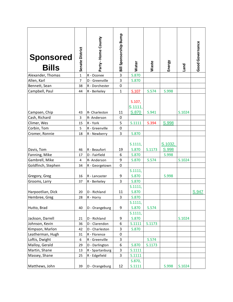| <b>Sponsored</b><br><b>Bills</b> | Senate District  | Party - Home County           | Bill Sponsorship Bump | Water                      | Waste  | Energy           | puen   | Good Governance |
|----------------------------------|------------------|-------------------------------|-----------------------|----------------------------|--------|------------------|--------|-----------------|
| Alexander, Thomas                | $\overline{1}$   | R - Oconee                    | $\overline{3}$        | S.870                      |        |                  |        |                 |
| Allen, Karl                      | 7                | D - Greenville                | 3                     | S.870                      |        |                  |        |                 |
| Bennett, Sean                    | 38               | R - Dorchester                | $\pmb{0}$             |                            |        |                  |        |                 |
| Campbell, Paul                   | 44               | R - Berkeley                  | $\mathbf{1}$          | S.107                      | S.574  | S.998            |        |                 |
| Campsen, Chip                    | 43               | R- Charleston                 | 11                    | S.107,<br>S.1111,<br>S.870 | S.941  |                  | S.1024 |                 |
| Cash, Richard                    | 3                | R-Anderson                    | $\mathbf 0$           |                            |        |                  |        |                 |
| Climer, Wes                      | 15               | R - York                      | 5                     | S.1111                     | S.394  | S.998            |        |                 |
| Corbin, Tom                      | 5                | R - Greenville                | $\mathbf 0$           |                            |        |                  |        |                 |
| Cromer, Ronnie                   | 18               | R - Newberry                  | 3                     | S.870                      |        |                  |        |                 |
| Davis, Tom                       | 46               | R - Beaufort                  | 19                    | S.1111,<br>S.870           | S.1173 | S.1032,<br>S.998 |        |                 |
| Fanning, Mike                    | 17               | D - Fairfield                 | 6                     | S.870                      |        | S.998            |        |                 |
| Gambrell, Mike                   | 4                | R-Anderson                    | 9                     | S.870                      | S.574  |                  | S.1024 |                 |
| Goldfinch, Stephen               | 34               | R - Georgetown                | $\pmb{0}$             |                            |        |                  |        |                 |
| Gregory, Greg<br>Grooms, Larry   | 16<br>37         | R - Lancaster<br>R - Berkeley | 9<br>3                | S.1111,<br>S.870<br>S.870  |        | S.998            |        |                 |
|                                  |                  |                               |                       | S.1111,                    |        |                  |        |                 |
| Harpootlian, Dick                | 20               | D - Richland                  | 11                    | S.870                      |        |                  |        | S.947           |
| Hembree, Greg                    | 28               | R - Horry                     | 3                     | S.870                      |        |                  |        |                 |
| Hutto, Brad                      | 40               | D - Orangeburg                | 9                     | S.1111,<br>S.870           | S.574  |                  |        |                 |
| Jackson, Darrell                 | 21               | D - Richland                  | 9                     | S.1111,<br>S.870           |        |                  | S.1024 |                 |
| Johnson, Kevin                   | 36               | D - Clarendon                 | 6                     | S.1111                     | S.1173 |                  |        |                 |
| Kimpson, Marlon                  | 42               | D - Charleston                | 3                     | S.870                      |        |                  |        |                 |
| Leatherman, Hugh                 | 31               | R - Florence                  | $\mathbf 0$           |                            |        |                  |        |                 |
| Loftis, Dwight                   | $\boldsymbol{6}$ | R - Greenville                | 3                     |                            | S.574  |                  |        |                 |
| Malloy, Gerald                   | 29               | D - Darlington                | 6                     | S.870                      | S.1173 |                  |        |                 |
| Martin, Shane                    | 13               | R - Spartanburg               | 3                     | S.1111                     |        |                  |        |                 |
| Massey, Shane                    | 25               | R - Edgefield                 | 3                     | S.1111                     |        |                  |        |                 |
| Matthews, John                   | 39               | D - Orangeburg                | 12                    | S.870,<br>S.1111           |        | S.998            | S.1024 |                 |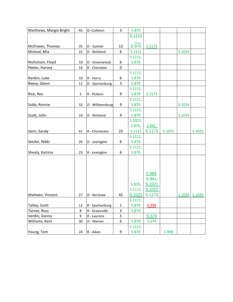| Matthews, Margie Bright | 45             | D- Colleton      | 3           | S.870   |        |        |        |               |
|-------------------------|----------------|------------------|-------------|---------|--------|--------|--------|---------------|
|                         |                |                  |             | S.1111  |        |        |        |               |
|                         |                |                  |             |         |        |        |        |               |
| McElveen, Thomas        | 35             | D - Sumter       | 13          | S.870   | S.1173 |        |        |               |
| Mcleod, Mia             | 22             | D - Richland     | 6           | S.1111  |        |        | S.1024 |               |
|                         |                |                  |             | S.1111, |        |        |        |               |
| Nicholson, Floyd        | 10             | D - Greenwood    | 6           | S.870   |        |        |        |               |
| Peeler, Harvey          | 14             | R - Cherokee     | $\mathbf 0$ |         |        |        |        |               |
|                         |                |                  |             | S.1111, |        |        |        |               |
| Rankin, Luke            | 33             | R - Horry        | 6           | S.870   |        |        |        |               |
| Reese, Glenn            | 11             | D - Spartanburg  | 3           | S.870   |        |        |        |               |
|                         |                |                  |             | S.1111, |        |        |        |               |
| Rice, Rex               | $\overline{2}$ | R - Pickens      | 9           | S.870   | S.1173 |        |        |               |
|                         |                |                  |             | S.1111, |        |        |        |               |
| Sabb, Ronnie            | 32             | D - Williamsburg | 9           | S.870   |        |        | S.1024 |               |
|                         |                |                  |             | S.1111, |        |        |        |               |
|                         |                |                  |             |         |        |        |        |               |
| Scott, John             | 19             | D - Richland     | 9           | S.870   |        |        | S.1024 |               |
|                         |                |                  |             | S.1023, |        |        |        |               |
|                         |                |                  |             | S.870,  | S.941, |        |        |               |
| Senn, Sandy             | 41             | R - Charleston   | 23          | S.1111  | S.1173 | S.1032 |        | S.1025        |
|                         |                |                  |             | S.1111, |        |        |        |               |
| Setzler, Nikki          | 26             | D - Lexington    | 6           | S.870   |        |        |        |               |
|                         |                |                  |             | S.1111, |        |        |        |               |
| Shealy, Katrina         | 23             | R - Lexington    | 6           | S.870   |        |        |        |               |
|                         |                |                  |             |         |        |        |        |               |
|                         |                |                  |             |         |        |        |        |               |
|                         |                |                  |             |         |        |        |        |               |
|                         |                |                  |             |         | S.984, |        |        |               |
|                         |                |                  |             |         | S.941, |        |        |               |
|                         |                |                  |             | S.870,  | S.1021 |        |        |               |
|                         |                |                  |             | S.1111, | S.1022 |        |        |               |
| Sheheen, Vincent        | 27             | D - Kershaw      | 42          | S.1023  | S.1173 |        |        | S.1024 S.1025 |
|                         |                |                  |             | S.1111, |        |        |        |               |
| Talley, Scott           | 12             | R - Spartanburg  | $\mathbf 1$ | S.870   | S.394  |        |        |               |
| Turner, Ross            | 8              | R - Greenville   | 3           | S.870   |        |        |        |               |
| Verdin, Danny           | 9              | R - Laurens      | 5           |         | S.574  |        |        |               |
| Williams, Kent          | 30             | D - Marion       | 6           | S.870   | S.574  |        |        |               |
|                         |                |                  |             | S.1111, |        |        |        |               |
| Young, Tom              | 24             | R - Aiken        | 9           | S.870   |        | S.998  |        |               |
|                         |                |                  |             |         |        |        |        |               |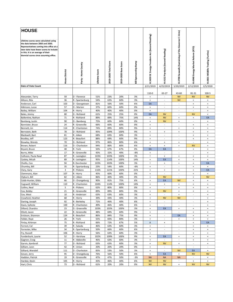| <b>HOUSE</b>                                                                                                                                                                                                                                   |                |                               |                |                       |                         |                       |                                                     |                                            |                                                                      |                                                                      |                                                                      |
|------------------------------------------------------------------------------------------------------------------------------------------------------------------------------------------------------------------------------------------------|----------------|-------------------------------|----------------|-----------------------|-------------------------|-----------------------|-----------------------------------------------------|--------------------------------------------|----------------------------------------------------------------------|----------------------------------------------------------------------|----------------------------------------------------------------------|
| Lifetime scores were calculated using<br>the data between 2003 and 2020.<br>Representatives coming into office at a<br>later date have fewer scores to include<br>in this. It is an average of their<br>biennial scores since assuming office. | House District | Party - Home County           | Lifetime Score | 2019-2020 Total Score | Score<br>2019-2020 Base | Bill Sponsorship Bump | Energy Freedom Act (Second Reading)<br>3659 SC<br>í | H.4152 Pyrolysis (Second Reading)          | H.3700 Seawalls (Sustaining of the Governor's Veto)                  | H.4940 Energy Market Reform (RTO)                                    | H.4831 Wildlife Trading (Turtles)                                    |
| <b>Date of Vote Count</b>                                                                                                                                                                                                                      |                |                               |                |                       |                         |                       | 2/21/2019                                           | 4/25/2019                                  | 5/20/2019                                                            | 2/12/2020                                                            | 2/5/2020                                                             |
|                                                                                                                                                                                                                                                |                |                               |                |                       |                         |                       |                                                     |                                            |                                                                      |                                                                      |                                                                      |
| Alexander, Terry                                                                                                                                                                                                                               | 59             | D - Florence                  | 51%            | 23%                   | 20%                     | 3%                    | 110-0<br>$\ddot{}$                                  | 63-27<br>$\overline{\phantom{a}}$          | 43-60<br><b>NV</b>                                                   | 81-31<br><b>NV</b>                                                   | $100 - 5$<br><b>NV</b>                                               |
| Allison, Rita                                                                                                                                                                                                                                  | 36             | R - Spartanburg               | 54%            | 63%                   | 60%                     | 3%                    | $\begin{array}{c} + \end{array}$                    | $\sim$                                     | <b>NV</b>                                                            | $\ddot{}$                                                            | $\ddot{}$                                                            |
| Anderson, Carl                                                                                                                                                                                                                                 | 103            | D - Georgetown                | 81%            | 56%                   | 50%                     | 6%                    | EA                                                  | $\overline{\phantom{a}}$                   | $\overline{\phantom{a}}$                                             | $\ddot{}$                                                            | $+$                                                                  |
| Atkinson, Lucas                                                                                                                                                                                                                                | 57             | D - Marion                    | 37%            | 60%                   | 60%                     | 0%                    | $\begin{array}{c} + \end{array}$                    | ÷,                                         | L,                                                                   | $\ddot{}$                                                            | $\begin{array}{c} + \end{array}$                                     |
| Bailey, William                                                                                                                                                                                                                                | 104            | R - Horry                     | 40%            | 40%                   | 40%                     | 0%                    | $\ddot{}$                                           | $\sim$                                     | $\omega$                                                             | ÷,                                                                   | $\pm$                                                                |
| Bales, Jimmy                                                                                                                                                                                                                                   | 80<br>71       | D - Richland<br>R - Richland  | 61%<br>89%     | 25%<br>89%            | 25%<br>75%              | 0%<br>14%             | EA<br>$\begin{array}{c} + \end{array}$              | <b>NV</b><br><b>NV</b>                     | ä,<br>$\begin{array}{c} + \end{array}$                               | <b>NV</b><br>$\ddot{}$                                               | $\ddot{}$<br>EA                                                      |
| Ballentine, Nathan<br>Bamberg, Justin                                                                                                                                                                                                          | 90             | D - Bamberg                   | 75%            | 60%                   | 60%                     | 0%                    | $\begin{array}{c} + \end{array}$                    | <b>NV</b>                                  | $\begin{array}{c} + \end{array}$                                     | $\sim$                                                               | $+$                                                                  |
| Bannister, Bruce                                                                                                                                                                                                                               | 24             | R - Greenville                | 66%            | 60%                   | 60%                     | 0%                    | $\ddot{}$                                           | $\sim$                                     | $\overline{\phantom{a}}$                                             | $\ddot{}$                                                            | $\begin{array}{c} + \end{array}$                                     |
| Bennett, Lin                                                                                                                                                                                                                                   | 114            | R - Charleston                | 74%            | 89%                   | 80%                     | 9%                    | $\ddot{}$                                           | $\sim$                                     | $\begin{array}{c} + \end{array}$                                     | $\ddot{}$                                                            | $\pmb{+}$                                                            |
| Bernstein, Beth                                                                                                                                                                                                                                | 78             | D - Richland                  | 95%            | 109%                  | 100%                    | 9%                    | $\ddot{}$                                           | $\begin{array}{c} + \end{array}$           | $\begin{array}{c} + \end{array}$                                     | $\begin{array}{c} + \end{array}$                                     | $\pmb{+}$                                                            |
| Blackwell, Bart                                                                                                                                                                                                                                | 81             | R - Aiken                     | 68%            | 63%                   | 60%                     | 3%                    | $\begin{array}{c} + \end{array}$                    | ÷,                                         | $\frac{1}{2}$                                                        | $\ddot{}$                                                            | $\pmb{+}$                                                            |
| Bradley, Jeff                                                                                                                                                                                                                                  | 123            | R - Beaufort                  | 88%            | 69%                   | 60%                     | 9%                    | $\ddot{}$                                           |                                            | ÷,                                                                   | $\begin{array}{c} + \end{array}$                                     | $\ddot{}$                                                            |
| Brawley, Wendy                                                                                                                                                                                                                                 | 70             | D - Richland                  | 97%            | 86%                   | 80%                     | 6%                    | $\begin{array}{c} + \end{array}$                    | $\ddot{}$                                  | $\begin{array}{c} + \end{array}$                                     | ÷                                                                    | $\pmb{+}$                                                            |
| Brown, Robert                                                                                                                                                                                                                                  | 116            | D - Charleston                | 94%            | 86%                   | 80%                     | 6%                    | $\ddot{}$                                           | $\begin{array}{c} + \end{array}$           | $\ddot{}$                                                            | <b>NV</b>                                                            | $\ddot{}$                                                            |
| Bryant, Bruce<br>Burns, Mike                                                                                                                                                                                                                   | 48<br>17       | R - York<br>R - Greenville    | 50%<br>43%     | 67%<br>32%            | 67%<br>40%              | 0%<br>$-8%$           | EA<br>$\ddot{}$                                     | EA<br>$\overline{\phantom{a}}$             | $\overline{\phantom{a}}$<br>$\overline{\phantom{a}}$                 | $\begin{array}{c} + \end{array}$                                     | $+$<br>$\pmb{+}$                                                     |
| Calhoon, Paula Rawl                                                                                                                                                                                                                            | 87             | R - Lexington                 | 103%           | 103%                  | 100%                    | 3%                    | $\begin{array}{c} + \end{array}$                    | $\begin{array}{c} + \end{array}$           | $\begin{array}{c} + \end{array}$                                     | $\begin{array}{c} + \end{array}$                                     | $\begin{array}{c} + \end{array}$                                     |
| Caskey, Micah                                                                                                                                                                                                                                  | 89             | R - Lexington                 | 95%            | 114%                  | 100%                    | 14%                   | $\ddot{}$                                           | EA                                         | $\begin{array}{c} + \end{array}$                                     | $\ddot{}$                                                            | $\begin{array}{c} + \end{array}$                                     |
| Chellis, Con                                                                                                                                                                                                                                   | 94             | R-Dorchester                  | 103%           | 103%                  | 100%                    | 3%                    | $\ddot{}$                                           | $\ddot{}$                                  | $\begin{array}{c} + \end{array}$                                     | $\begin{array}{c} + \end{array}$                                     | EA                                                                   |
| Chumley, Bill                                                                                                                                                                                                                                  | 35             | R - Spartanburg               | 23%            | 54%                   | 60%                     | $-6%$                 | $\begin{array}{c} + \end{array}$                    | $\sim$                                     | $\sim$                                                               | $\ddot{}$                                                            | $\ddot{}$                                                            |
| Clary, Gary                                                                                                                                                                                                                                    | 3              | R - Pickens                   | 116%           | 121%                  | 100%                    | 21%                   | $\begin{array}{c} + \end{array}$                    | $\ddot{}$                                  | $\begin{array}{c} + \end{array}$                                     | $\ddot{}$                                                            | EA                                                                   |
| Clemmons, Alan                                                                                                                                                                                                                                 | 107            | R - Horry                     | 45%            | 60%                   | 60%                     | 0%                    | $\ddot{}$                                           |                                            |                                                                      | $\begin{array}{c} + \end{array}$                                     | $\ddot{}$                                                            |
| Clyburn, Bill                                                                                                                                                                                                                                  | 82             | D - Aiken                     | 86%            | 40%                   | 40%                     | 0%                    | $\ddot{}$                                           | <b>NV</b>                                  | $\omega$                                                             | $\ddot{}$                                                            | <b>NV</b>                                                            |
| Cobb-Hunter, Gilda                                                                                                                                                                                                                             | 66             | D - Orangeburg                | 90%            | 81%                   | 75%                     | 6%                    | $\ddot{}$                                           | EA                                         | <b>NV</b>                                                            | $\ddot{}$                                                            | $+$                                                                  |
| Cogswell, William                                                                                                                                                                                                                              | 110            | R - Charleston<br>R - Pickens | 104%           | 114%                  | 100%                    | 14%<br>0%             | $\begin{array}{c} + \end{array}$<br>$\ddot{}$       | $\begin{array}{c} + \end{array}$<br>$\sim$ | $\begin{array}{c} + \end{array}$<br>$\begin{array}{c} + \end{array}$ | $\ddot{}$<br>$\ddot{}$                                               | $\pmb{+}$<br>$\pmb{+}$                                               |
| Collins, Neal<br>Cox, Bobby                                                                                                                                                                                                                    | 5<br>21        | R - Greenville                | 62%<br>89%     | 80%<br>89%            | 80%<br>80%              | 9%                    | $\ddot{}$                                           | <b>NV</b>                                  | $\begin{array}{c} + \end{array}$                                     | $\ddot{}$                                                            | $\begin{array}{c} + \end{array}$                                     |
| Cox, West                                                                                                                                                                                                                                      | 10             | R - Anderson                  | 63%            | 63%                   | 60%                     | 3%                    | $\ddot{}$                                           | $\sim$                                     | $\begin{array}{c} + \end{array}$                                     | ä,                                                                   | $\pmb{+}$                                                            |
| Crawford, Heather                                                                                                                                                                                                                              | 68             | R - Horry                     | 39%            | 43%                   | 40%                     | $3\%$                 |                                                     | ${\sf NV}$                                 | <b>NV</b>                                                            |                                                                      |                                                                      |
| Daning, Joseph                                                                                                                                                                                                                                 | 92             | R - Berkeley                  | 71%            | 46%                   | 40%                     | 6%                    | $\ddot{}$                                           | $\overline{\phantom{a}}$                   | $\blacksquare$                                                       | $\blacksquare$                                                       | $\bf{+}$                                                             |
| Davis, Sylleste                                                                                                                                                                                                                                | 100            | R - Charleston                | 49%            | 46%                   | 40%                     | 6%                    | $\ddot{}$                                           |                                            | $\overline{\phantom{a}}$                                             |                                                                      | $+$                                                                  |
| Dillard, Chandra                                                                                                                                                                                                                               | 23             | D - Greenville                | 103%           | 103%                  | 100%                    | $3\%$                 | $+$                                                 | EA                                         | $+$                                                                  | $\begin{array}{c} + \end{array}$                                     | $\begin{array}{c} + \end{array}$                                     |
| Elliott, Jason                                                                                                                                                                                                                                 | 22             | R - Greenville                | 48%            | 69%                   | 60%                     | 9%                    | $\ddot{}$                                           | $\overline{\phantom{a}}$                   | $\overline{\phantom{a}}$                                             | $\begin{array}{c} + \end{array}$                                     | $\begin{array}{c} + \end{array}$                                     |
| Erickson, Shannon                                                                                                                                                                                                                              | 124<br>26      | R - Beaufort<br>R - York      | 86%<br>55%     | 84%<br>83%            | 75%<br>80%              | 9%<br>3%              | $\ddot{}$                                           | $\overline{\phantom{a}}$                   | EA                                                                   | $\begin{array}{c} + \end{array}$<br>$\begin{array}{c} + \end{array}$ | $\begin{array}{c} + \end{array}$<br>$\begin{array}{c} + \end{array}$ |
| Felder, Raye<br>Finlay, Kirkman                                                                                                                                                                                                                | 75             | R - Richland                  | 66%            | 72%                   | 67%                     | 5%                    | $\begin{array}{c} + \end{array}$<br>Α               | $\ddot{}$                                  | $+$<br>$\blacksquare$                                                | $\begin{array}{c} + \end{array}$                                     | EA                                                                   |
| Forrest, Cal                                                                                                                                                                                                                                   | 39             | R - Saluda                    | 46%            | 63%                   | 60%                     | 3%                    | $\begin{array}{c} + \end{array}$                    | $\overline{\phantom{a}}$                   | $\overline{\phantom{a}}$                                             | $\begin{array}{c} + \end{array}$                                     | $\begin{array}{c} + \end{array}$                                     |
| Forrester, Mike                                                                                                                                                                                                                                | 34             | R - Spartanburg               | 50%            | 66%                   | 60%                     | 6%                    | $+$                                                 | $\overline{\phantom{a}}$                   | $\sim$                                                               | $\ddot{}$                                                            | $+$                                                                  |
| Fry, Russell                                                                                                                                                                                                                                   | 106            | R - Horry                     | 56%            | 63%                   | 60%                     | 3%                    | $\ddot{}$                                           | $\overline{\phantom{a}}$                   | $\overline{\phantom{a}}$                                             | $\begin{array}{c} + \end{array}$                                     | $\begin{array}{c} + \end{array}$                                     |
| Funderburk, Laurie                                                                                                                                                                                                                             | 52             | D - Kershaw                   | 102%           | 109%                  | 100%                    | 9%                    | $+$                                                 | EA                                         | $+$                                                                  | $\begin{array}{c} + \end{array}$                                     | $\begin{array}{c} + \end{array}$                                     |
| Gagnon, Craig                                                                                                                                                                                                                                  | 11             | R - Abbeville                 | 46%            | 63%                   | 60%                     | 3%                    | $+$                                                 | $\sim$                                     | $\overline{\phantom{a}}$                                             | $\begin{array}{c} + \end{array}$                                     | $\begin{array}{c} + \end{array}$                                     |
| Garvin, Kambrell                                                                                                                                                                                                                               | 77             | D - Richland                  | 63%            | 63%                   | 60%                     | 3%                    | $+$                                                 | <b>NV</b>                                  | $+$                                                                  | $\omega$                                                             | $+$                                                                  |
| Gilliam, Leon                                                                                                                                                                                                                                  | 42             | R - Union                     | 20%            | 20%                   | 20%                     | 0%                    | $+$                                                 | $\omega$                                   | $\sim$                                                               | $\sim$                                                               | $\blacksquare$                                                       |
| Gilliard, Wendell                                                                                                                                                                                                                              | 111            | D - Charleston                | 83%            | 53%                   | 50%                     | 3%                    | $+$                                                 | $\omega$                                   | <b>NV</b>                                                            | EA                                                                   | $\begin{array}{c} + \end{array}$                                     |
| Govan, Jerry                                                                                                                                                                                                                                   | 95             | D - Orangeburg                | 76%            | 56%                   | 50%                     | 6%                    | $\ddot{}$                                           | EA                                         | $\begin{array}{c} + \end{array}$                                     | <b>NV</b>                                                            | <b>NV</b>                                                            |
| Haddon, Patrick<br>Hardee, Kevin                                                                                                                                                                                                               | 19<br>105      | R - Greenville<br>R - Horry   | 47%<br>43%     | 47%<br>46%            | 50%<br>40%              | $-3%$<br>6%           | <b>NA</b><br>${\sf NV}$                             | <b>NA</b><br><b>NV</b>                     | <b>NA</b><br>$\Box$                                                  | $\overline{\phantom{a}}$<br>$\begin{array}{c} + \end{array}$         | $\begin{array}{c} + \end{array}$<br>$+$                              |
| Hart, Chris                                                                                                                                                                                                                                    | 73             | D - Richland                  | 61%            | 20%                   | 20%                     | 0%                    | <b>NV</b>                                           | <b>NV</b>                                  | $+$                                                                  | <b>NV</b>                                                            | <b>NV</b>                                                            |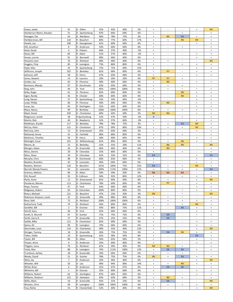|                          | 55             | D - Dillon       | 55%  | 43%  | 40%  |       | $\begin{array}{c} + \end{array}$ |                                  | $\sim$                           |                                  | <b>NV</b>                        |
|--------------------------|----------------|------------------|------|------|------|-------|----------------------------------|----------------------------------|----------------------------------|----------------------------------|----------------------------------|
| Hayes, Jackie            |                |                  |      |      |      | 3%    |                                  |                                  |                                  | $\ddot{}$                        |                                  |
| Henderson-Myers, Rosalyn | 31             | D - Spartanburg  | 87%  | 66%  | 60%  | 6%    | $\begin{array}{c} + \end{array}$ | $\sim$                           | $\begin{array}{c} + \end{array}$ | $\sim$                           | $\ddot{}$                        |
| Henegan, Pat             | 54             | D - Marlboro     | 90%  | 78%  | 75%  | 3%    | $\begin{array}{c} + \end{array}$ | <b>NV</b>                        | EA                               | $\begin{array}{c} + \end{array}$ | $\begin{array}{c} + \end{array}$ |
| Herbkersman, Bill        | 118            | R - Beaufort     | 84%  | 77%  | 60%  | 17%   | $\begin{array}{c} + \end{array}$ | $\ddot{}$                        | <b>NV</b>                        | <b>NV</b>                        | $+$                              |
| Hewitt, Lee              | 108            | R - Georgetown   | 61%  | 60%  | 60%  | 0%    | $\begin{array}{c} + \end{array}$ | $\overline{\phantom{a}}$         | $\sim$                           | $\ddot{}$                        | $+$                              |
| Hill, Jonathon           | 8              | R - Anderson     | 54%  | 60%  | 60%  | 0%    | $\begin{array}{c} + \end{array}$ |                                  | $\ddot{}$                        |                                  | $\ddot{}$                        |
|                          | $\overline{4}$ | R - Pickens      | 60%  |      | 40%  |       |                                  |                                  |                                  |                                  |                                  |
| Hiott, David             |                |                  |      | 37%  |      | $-3%$ | $\begin{array}{c} + \end{array}$ | $\overline{\phantom{a}}$         | $\overline{\phantom{a}}$         | $\overline{\phantom{a}}$         | $\begin{array}{c} + \end{array}$ |
| Hixon, Bill              | 83             | R - Aiken        | 51%  | 57%  | 60%  | $-3%$ | $\begin{array}{c} + \end{array}$ | $\overline{\phantom{a}}$         | $\overline{\phantom{a}}$         | $\ddot{}$                        | $\begin{array}{c} + \end{array}$ |
| Hosey, Lonnie            | 91             | D - Barnwell     | 89%  | 66%  | 60%  | 6%    | $\begin{array}{c} + \end{array}$ | $\overline{\phantom{a}}$         | $\overline{\phantom{a}}$         | $\ddot{}$                        | $\begin{array}{c} + \end{array}$ |
| Howard, Leon             | 76             | D - Richland     | 68%  | 40%  | 40%  | 0%    | $\begin{array}{c} + \end{array}$ | $\ddot{}$                        | $\overline{\phantom{a}}$         | $\sim$                           | <b>NV</b>                        |
| Huggins, Chip            | 85             | R - Lexington    | 73%  | 86%  | 80%  | 6%    | $\begin{array}{c} + \end{array}$ | $\overline{\phantom{a}}$         | $\ddot{}$                        | $\ddot{}$                        | $+$                              |
| Hyde, Max                | 32             | R - Spartanburg  | 72%  | 72%  | 60%  | 12%   | $\begin{array}{c} + \end{array}$ | $\sim$                           | $\sim$                           | $+$                              | $\ddot{}$                        |
|                          |                |                  |      |      |      |       | $\ddag$                          | <b>NV</b>                        |                                  |                                  |                                  |
| Jefferson, Joseph        | 102            | D - Berkeley     | 81%  | 66%  | 60%  | 6%    |                                  |                                  | $\overline{\phantom{a}}$         | $\ddot{}$                        | $+$                              |
| Johnson, Jeff            | 58             | R - Horry        | 47%  | 63%  | 60%  | 3%    | $\begin{array}{c} + \end{array}$ | $\overline{\phantom{a}}$         | $\sim$                           | $\ddot{}$                        | $\ddot{}$                        |
| Jones, Stewart           | 14             | R - Laurens      | 20%  | 20%  | 20%  | 0%    | <b>NV</b>                        | <b>NV</b>                        | $\begin{array}{c} + \end{array}$ | $\overline{\phantom{a}}$         | $\bar{\phantom{a}}$              |
| Jordan, Jay              | 63             | R - Florence     | 48%  | 60%  | 60%  | 0%    | $\ddot{}$                        | <b>NV</b>                        | $\overline{\phantom{a}}$         | $\ddot{}$                        | $\begin{array}{c} + \end{array}$ |
| Kimmons, Mandy           | 97             | R - Dorchester   | 63%  | 63%  | 60%  | 3%    | $\ddot{}$                        | $\ddot{}$                        | $\ddot{}$                        | $\sim$                           | $\sim$                           |
| King, John               | 49             | D - York         | 85%  | 106% | 100% | 6%    | $\begin{array}{c} + \end{array}$ | $\ddot{}$                        | $\ddot{}$                        | $\pmb{+}$                        | $\begin{array}{c} + \end{array}$ |
|                          | 61             | D - Florence     | 82%  |      | 60%  |       |                                  | $\sim$                           | <b>NV</b>                        |                                  |                                  |
| Kirby, Roger             |                |                  |      | 60%  |      | 0%    | $\begin{array}{c} + \end{array}$ |                                  |                                  | $\begin{array}{c} + \end{array}$ | $+$                              |
| Ligon, Randy             | 43             | R - Chester      | 60%  | 60%  | 60%  | 0%    | $\begin{array}{c} + \end{array}$ | $\sim$                           | <b>NV</b>                        | $\begin{array}{c} + \end{array}$ | $\begin{array}{c} + \end{array}$ |
| Long, Steven             | 37             | R - Spartanburg  | 23%  | 54%  | 60%  | -6%   | $\ddot{}$                        | ÷.                               | $\overline{\phantom{a}}$         | $\begin{array}{c} + \end{array}$ | $+$                              |
| Lowe, Phillip            | 60             | R - Florence     | 50%  | 60%  | 60%  | 0%    | $\begin{array}{c} + \end{array}$ | <b>NV</b>                        | $\overline{\phantom{a}}$         | $\begin{array}{c} + \end{array}$ | $+$                              |
| Lucas, Jay               | 65             | R - Darlington   | 55%  | 60%  | 60%  | 0%    | $\ddot{}$                        | ÷,                               | $\sim$                           | $\begin{array}{c} + \end{array}$ | $+$                              |
| Mace, Nancy              | 99             | R - Berkeley     | 100% | 106% | 100% | 6%    | $\ddot{}$                        | $\ddot{}$                        | $\ddot{}$                        | $\ddot{}$                        | $\begin{array}{c} + \end{array}$ |
|                          | 109            |                  | 84%  |      | 40%  | 3%    | <b>NV</b>                        | <b>NV</b>                        |                                  |                                  | $\ddot{}$                        |
| Mack, David              |                | D - Charleston   |      | 43%  |      |       |                                  |                                  |                                  | $+$                              |                                  |
| Magnuson, Josiah         | 38             | R-Spartanburg    | 52%  | 47%  | 50%  | $-3%$ | A                                | $\blacksquare$                   | $\begin{array}{c} + \end{array}$ | $\overline{\phantom{a}}$         | $\begin{array}{c} + \end{array}$ |
| Martin, Rick             | 40             | R - Newberry     | 32%  | 57%  | 60%  | $-3%$ | $\begin{array}{c} + \end{array}$ | $\sim$                           | $\sim$                           | $\begin{array}{c} + \end{array}$ | $\begin{array}{c} + \end{array}$ |
| Matthews, Krystle        | 117            | D - Berkeley     | 78%  | 78%  | 75%  | 3%    | $\begin{array}{c} + \end{array}$ | $\begin{array}{c} + \end{array}$ | EA                               | <b>NV</b>                        | $\begin{array}{c} + \end{array}$ |
| McCoy, Peter             | 115            | R - Charleston   | 87%  | 99%  | 80%  | 19%   | $\begin{array}{c} + \end{array}$ | $\ddot{}$                        | $\ddot{}$                        | <b>NV</b>                        | $\begin{array}{c} + \end{array}$ |
| McCravy, John            | 13             | R - Greenwood    | 35%  | 63%  | 60%  | 3%    | $\ddot{}$                        | $\overline{\phantom{a}}$         | $\overline{\phantom{a}}$         | $+$                              | $\begin{array}{c} + \end{array}$ |
|                          |                |                  |      |      |      |       |                                  |                                  |                                  |                                  |                                  |
| McDaniel, Annie          | 41             | D - Fairfield    | 86%  | 86%  | 80%  | 6%    | $\begin{array}{c} + \end{array}$ | $\begin{array}{c} + \end{array}$ | $\ddot{}$                        | $\sim$                           | $\begin{array}{c} + \end{array}$ |
| McGinnis, Timothy        | 56             | R - Horry        | 28%  | 60%  | 60%  | 0%    | $\ddot{}$                        | $\overline{\phantom{a}}$         | $\sim$                           | $+$                              | $+$                              |
| Mcknight, Cezar          | 101            | D - Williamsburg | 81%  | 80%  | 80%  | 0%    | $\begin{array}{c} + \end{array}$ | $\begin{array}{c} + \end{array}$ | <b>NV</b>                        | $\begin{array}{c} + \end{array}$ | $\ddot{}$                        |
| Moore, JA                | 15             | D - Berkeley     | 31%  | 31%  | 20%  | 11%   | $\ddot{}$                        | <b>NV</b>                        | <b>NV</b>                        | $\bar{\phantom{a}}$              | <b>NV</b>                        |
| Morgan, Adam             | 20             | R - Greenville   | 46%  | 46%  | 40%  | 6%    | $\begin{array}{c} + \end{array}$ | <b>NV</b>                        | $\omega$                         | $\sim$                           | $+$                              |
| Moss, Dennis             | 29             | R - Cherokee     | 55%  | 60%  | 60%  | 0%    | $\begin{array}{c} + \end{array}$ | $\bar{\phantom{a}}$              | $+$                              | $\sim$                           | $\begin{array}{c} + \end{array}$ |
|                          |                |                  |      |      |      |       |                                  |                                  | $\sim$                           |                                  |                                  |
| Moss, Steve              | 30             | R - Cherokee     | 62%  | 33%  | 33%  | 0%    | EA                               | $\overline{\phantom{a}}$         |                                  | $+$                              | EA                               |
| Murphy, Chris            | 98             | R - Dorchester   | 60%  | 63%  | 60%  | 3%    | $\begin{array}{c} + \end{array}$ | $\sim$                           | $\sim$                           | $\begin{array}{c} + \end{array}$ | $\ddot{}$                        |
| Newton, Brandon          | 45             | R - Lancaster    | 46%  | 66%  | 60%  | 6%    | $\begin{array}{c} + \end{array}$ | $\sim$                           | $\sim$                           | $\begin{array}{c} + \end{array}$ | $\begin{array}{c} + \end{array}$ |
| Newton, Weston           | 120            | R - Beaufort     | 101% | 100% | 75%  | 25%   | EA                               | $\ddot{}$                        | $\begin{array}{c} + \end{array}$ | <b>NV</b>                        | $+$                              |
| Norrell, Mandy Powers    | 44             | D - Lancaster    | 100% | 112% | 100% | 12%   | $\ddot{}$                        | $\ddot{}$                        | $\begin{array}{c} + \end{array}$ | $+$                              | EA                               |
| Oremus, Melissa          | 84             | R - Aiken        | 50%  | 50%  | 50%  | 0%    | <b>NA</b>                        | <b>NA</b>                        | <b>NA</b>                        |                                  | $+$                              |
|                          |                |                  |      |      |      |       |                                  |                                  |                                  |                                  |                                  |
| Ott, Russell             | 93             | D- Calhoun       | 94%  | 92%  | 80%  | 12%   | $\ddot{}$                        | $\overline{\phantom{a}}$         | $\ddot{}$                        | $+$                              | $\ddot{}$                        |
| Parks, Anne              | 12             | D - Greenwood    | 81%  | 60%  | 60%  | 0%    | $\ddot{}$                        | $\ddot{}$                        | $\overline{\phantom{a}}$         | $\begin{array}{c} + \end{array}$ | <b>NV</b>                        |
| Pendarvis, Marvin        | 113            | D - Charleston   | 78%  | 69%  | 60%  | 9%    | $\begin{array}{c} + \end{array}$ | <b>NV</b>                        | $\blacksquare$                   | $\ddot{}$                        | $\begin{array}{c} + \end{array}$ |
| Pope, Tommy              | 47             | R - York         | 63%  | 60%  | 60%  | 0%    | $\begin{array}{c} + \end{array}$ | $\sim$                           | $\overline{\phantom{a}}$         | $\begin{array}{c} + \end{array}$ | $\begin{array}{c} + \end{array}$ |
| Ridgeway, Robert         | 64             | D- Clarendon     | 100% | 80%  | 80%  | 0%    | $\pmb{+}$                        | $\sim$                           | $\pmb{+}$                        | $+$                              | $\begin{array}{c} + \end{array}$ |
| Rivers, Michael          | 121            | D - Beaufort     | 47%  | 23%  | 20%  | 3%    | <b>NV</b>                        | $\sim$                           | $\begin{array}{c} + \end{array}$ | $\sim$                           | <b>NV</b>                        |
|                          |                |                  |      |      |      |       |                                  |                                  |                                  |                                  |                                  |
| Robinson-Simpson, Leola  | 25             | D - Greenville   | 99%  | 88%  | 80%  | 8%    | $\ddot{}$                        | $\ddot{}$                        | $\ddot{}$                        |                                  | $\ddot{}$                        |
| Rose, Seth               | 72             | D - Richland     | 106% | 106% | 100% | 6%    | $\begin{array}{c} + \end{array}$ | $\ddot{}$                        | $+$                              | $+$                              | $\begin{array}{c} + \end{array}$ |
| Rutherford, Todd         | 74             | D - Richland     | 56%  | 80%  | 80%  | 0%    | $\ddot{}$                        | $\ddot{}$                        | $\ddot{}$                        | <b>NV</b>                        | $+$                              |
| Sandifer, Bill           | $\overline{2}$ | R - Oconee       | 43%  | 86%  | 75%  | 11%   | $\begin{array}{c} + \end{array}$ | ÷,                               | EA                               | $+$                              | $\begin{array}{c} + \end{array}$ |
| Simrill, Gary            | 46             | R - York         | 62%  | 66%  | 60%  | 6%    | $\ddot{}$                        | $\bar{\phantom{a}}$              | $\sim$                           | $+$                              | $\begin{array}{c} + \end{array}$ |
| Smith, G. Murrell        | 67             | R - Sumter       | 71%  | 75%  | 75%  | 0%    | $^{\mathrm{+}}$                  | EA                               | ٠                                | $\ddot{}$                        | $\begin{array}{c} + \end{array}$ |
| Smith, Garry R.          | 27             | R - Greenville   | 37%  | 25%  | 25%  | 0%    | $\begin{array}{c} + \end{array}$ | EA                               | $\sim$                           | $\omega$                         | $\omega$                         |
|                          |                |                  |      |      |      |       |                                  |                                  |                                  |                                  |                                  |
| Sottile, Mike            | 112            | R - Charleston   | 82%  | 69%  | 60%  | 9%    | $\ddot{}$                        | $\overline{\phantom{a}}$         | $\sim$                           | $\ddot{}$                        | $+$                              |
| Spires, Kit              | 96             | R - Lexington    | 70%  | 66%  | 60%  | 6%    | $\begin{array}{c} + \end{array}$ | $\sim$                           | $\sim$                           | $\begin{array}{c} + \end{array}$ | $\begin{array}{c} + \end{array}$ |
| Stavrinakis, Leon        | 119            | D - Charleston   | 99%  | 52%  | 40%  | 12%   | $\begin{array}{c} + \end{array}$ | $\sim$                           | ٠                                | $\ddot{}$                        | <b>NV</b>                        |
| Stringer, Tommy          | 18             | R - Greenville   | 36%  | 75%  | 75%  | 0%    | $\begin{array}{c} + \end{array}$ | EA                               | <b>NV</b>                        | $\begin{array}{c} + \end{array}$ | $+$                              |
| Tallon, Eddie            | 33             | R - Spartanburg  | 62%  | 58%  | 50%  | 8%    | $\begin{array}{c} + \end{array}$ | $\overline{\phantom{a}}$         | $\overline{\phantom{a}}$         | EA                               | $+$                              |
| Taylor, Bill             | 86             | R - Aiken        | 56%  | 63%  | 60%  | 3%    | $\ddot{}$                        |                                  |                                  | $\ddot{}$                        | $\begin{array}{c} + \end{array}$ |
|                          |                |                  |      |      |      |       |                                  |                                  |                                  |                                  |                                  |
| Thayer, Anne             | 9              | R - Anderson     | 35%  | 60%  | 60%  | 0%    | $\ddot{}$                        | $\overline{\phantom{a}}$         | $\overline{\phantom{a}}$         | $\ddot{}$                        | $+$                              |
| Thigpen, Ivory           | 79             | D - Richland     | 81%  | 49%  | 40%  | 9%    | <b>NV</b>                        | <b>NV</b>                        | $\begin{array}{c} + \end{array}$ | $\sim$                           | $\begin{array}{c} + \end{array}$ |
| Toole, Mac               | 88             | R - Lexington    | 76%  | 112% | 100% | 12%   | $\pmb{+}$                        | EA                               | EA                               | $\ddot{}$                        | $+$                              |
| Trantham, Ashley         | 28             | R - Greenville   | 59%  | 60%  | 60%  | 0%    | $\ddot{}$                        | $\ddot{}$                        | $\ddot{}$                        | $\sim$                           | $\sim$                           |
| Weeks, David             | 51             | D - Sumter       | 78%  | 75%  | 75%  | 0%    | <b>NV</b>                        | $\ddot{}$                        | EA                               | $\ddot{}$                        | $+$                              |
|                          | 7              | R - Anderson     | 33%  | 46%  | 40%  | 6%    | $\begin{array}{c} + \end{array}$ | $\sim$                           | $\overline{\phantom{a}}$         | $\ddot{}$                        | <b>NV</b>                        |
| West, Jay                |                |                  |      |      |      |       |                                  |                                  |                                  |                                  |                                  |
| Wheeler, Will            | 50             | D - Lee          | 90%  | 94%  | 80%  | 14%   | $\begin{array}{c} + \end{array}$ | $\ddot{}$                        | <b>NV</b>                        | $\ddot{}$                        | $+$                              |
| White, Brian             | 6              | R - Anderson     | 41%  | 67%  | 67%  | 0%    | $\begin{array}{c} + \end{array}$ | EA                               | EA                               | $\sim$                           | $\begin{array}{c} + \end{array}$ |
| Whitmire, Bill           | $\mathbf{1}$   | R - Oconee       | 55%  | 60%  | 60%  | 0%    | $\ddot{}$                        | $\omega$                         | $\omega$                         | $+$                              | $\begin{array}{c} + \end{array}$ |
| Williams, Robert         | 62             | D - Darlington   | 87%  | 66%  | 60%  | 6%    | $\qquad \qquad +$                | $\overline{\phantom{a}}$         | $\sim$                           | $+$                              | $\begin{array}{c} + \end{array}$ |
| Williams, Shedron        | 122            | D - Hampton      | 63%  | 63%  | 60%  | 3%    | $\begin{array}{c} + \end{array}$ | <b>NV</b>                        | $+$                              | $\omega$                         | $\begin{array}{c} + \end{array}$ |
| Willis, Mark             | 16             | R - Greenville   | 45%  | 31%  | 25%  | 6%    | $^{\mathrm{+}}$                  | EA                               | $\omega$                         | $\sim$                           | <b>NV</b>                        |
|                          |                |                  |      |      |      |       |                                  |                                  |                                  |                                  |                                  |
| Wooten, Chris            | 69             | R - Lexington    | 106% | 106% | 100% | 6%    | $\begin{array}{c} + \end{array}$ | $\begin{array}{c} + \end{array}$ | $\ddot{}$                        | $\ddot{}$                        | $\ddot{}$                        |
| Yow, Richie              | 53             | R - Chesterfield | 52%  | 40%  | 40%  | 0%    | $\ddot{}$                        | $\overline{\phantom{a}}$         | $\sim$                           | $+$                              | <b>NV</b>                        |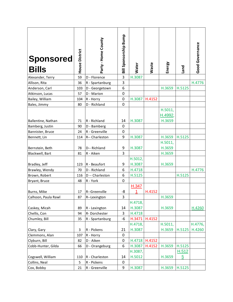| <b>Sponsored</b><br><b>Bills</b> | House District | Party - Home County | Bill Sponsorship Bump | <b>Water</b> | Waste  | Energy            | Land   | Good Governance |
|----------------------------------|----------------|---------------------|-----------------------|--------------|--------|-------------------|--------|-----------------|
| Alexander, Terry                 | 59             | D - Florence        | 3                     | H.3087       |        |                   |        |                 |
| Allison, Rita                    | 36             | R - Spartanburg     | 3                     |              |        |                   |        | H.4776          |
| Anderson, Carl                   | 103            | D - Georgetown      | 6                     |              |        | H.3659            | H.5125 |                 |
| Atkinson, Lucas                  | 57             | D - Marion          | $\pmb{0}$             |              |        |                   |        |                 |
| Bailey, William                  | 104            | R - Horry           | 0                     | H.3087       | H.4152 |                   |        |                 |
| Bales, Jimmy                     | 80             | D - Richland        | 0                     |              |        |                   |        |                 |
|                                  |                |                     |                       |              |        | H.5011,<br>H.4992 |        |                 |
| Ballentine, Nathan               | 71             | R - Richland        | 14                    | H.3087       |        | H.3659            |        |                 |
| Bamberg, Justin                  | 90             | D - Bamberg         | 0                     |              |        |                   |        |                 |
| Bannister, Bruce                 | 24             | R - Greenville      | 0                     |              |        |                   |        |                 |
| Bennett, Lin                     | 114            | R-- Charleston      | 9                     | H.3087       |        | H.3659            | H.5125 |                 |
|                                  |                |                     |                       |              |        | H.5011,           |        |                 |
| Bernstein, Beth                  | 78             | D-- Richland        | 9                     | H.3087       |        | H.3659            |        |                 |
| Blackwell, Bart                  | 81             | R - Aiken           | 3                     |              |        | H.3659            |        |                 |
|                                  |                |                     |                       | H.5012,      |        |                   |        |                 |
| Bradley, Jeff                    | 123            | R - Beaufort        | 9                     | H.3087       |        | H.3659            |        |                 |
| Brawley, Wendy                   | 70             | D - Richland        | 6                     | H.4718       |        |                   |        | H.4776          |
| Brown, Robert                    | 116            | D -- Charleston     | 6                     | H.5125       |        |                   | H.5125 |                 |
| Bryant, Bruce                    | 48             | R - York            | 0                     |              |        |                   |        |                 |
|                                  |                |                     |                       | H.347        |        |                   |        |                 |
| Burns, Mike                      | 17             | R--Greenville       | -8                    | 1            | H.4152 |                   |        |                 |
| Calhoon, Paula Rawl              | 87             | R--Lexington        | 3                     |              |        | H.3659            |        |                 |
|                                  |                |                     |                       | H.4718,      |        |                   |        |                 |
| Caskey, Micah                    | 89             | R - Lexington       | 14                    | H.3087       |        | H.3659            |        | H.4260          |
| Chellis, Con                     | 94             | R-Dorchester        | 3                     | H.4718       |        |                   |        |                 |
| Chumley, Bill                    | 35             | R - Spartanburg     | $-6$                  | H.3471       | H.4152 |                   |        |                 |
|                                  |                |                     |                       | H.4718,      |        | H.5011,           |        | H.4776,         |
| Clary, Gary                      | 3              | R - Pickens         | 21                    | H.3087       |        | H.3659            | H.5125 | H.4260          |
| Clemmons, Alan                   | 107            | R - Horry           | 0                     |              |        |                   |        |                 |
| Clyburn, Bill                    | 82             | D - Aiken           | 0                     | H.4718       | H.4152 |                   |        |                 |
| Cobb-Hunter, Gilda               | 66             | D - Orangeburg      | 6                     | H.3087       | H.4152 | H.3659            | H.5125 |                 |
|                                  |                |                     |                       | H.3087,      |        |                   | H.512  |                 |
| Cogswell, William                | 110            | R - Charleston      | 14                    | H.5012       |        | H.3659            | 5      |                 |
| Collins, Neal                    | 5              | R - Pickens         | 0                     |              |        |                   |        |                 |
| Cox, Bobby                       | 21             | R - Greenville      | 9                     | H.3087       |        | H.3659            | H.5125 |                 |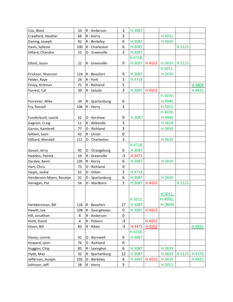| Cox, West                | 10                      | R - Anderson    | 3           | H.3087  |        |         |        |        |
|--------------------------|-------------------------|-----------------|-------------|---------|--------|---------|--------|--------|
| Crawford, Heather        | 68                      | R - Horry       | 3           |         |        | H.5011  |        |        |
| Daning, Joseph           | 92                      | R - Berkeley    | 6           | H.3087  |        | H.3659  |        |        |
| Davis, Sylleste          | 100                     | R - Charleston  | 6           | H.3087  |        |         | H.5125 |        |
| Dillard, Chandra         | 23                      | D - Greenville  | 3           | H.3087  |        |         |        |        |
|                          |                         |                 |             | H.4718, |        |         |        |        |
| Elliott, Jason           | 22                      | R - Greenville  | 9           | H.3087  | H.4152 | H.3659  | H.5125 |        |
|                          |                         |                 |             |         |        | H.5011, |        |        |
| Erickson, Shannon        | 124                     | R - Beaufort    | 9           | H.3087  |        | H.3659  |        |        |
| Felder, Raye             | 26                      | R - York        | 3           | H.4718  |        |         |        |        |
| Finlay, Kirkman          | 75                      | R - Richland    | 5           |         |        |         |        | H.4809 |
| Forrest, Cal             | 39                      | R - Saluda      | 3           | H.3087  | H.4152 |         |        | H.4831 |
|                          |                         |                 |             |         |        | H.3659, |        |        |
| Forrester, Mike          | 34                      | R - Spartanburg | 6           |         |        | H.4940  |        |        |
| Fry, Russell             | 106                     | R - Horry       | 3           |         |        | H.5011  |        |        |
|                          |                         |                 |             |         |        | H.3659, |        |        |
| Funderburk, Laurie       | 52                      | D - Kershaw     | 9           | H.3087  |        | H.4940  |        |        |
| Gagnon, Craig            | 11                      | R - Abbeville   | 3           |         |        | H.3659  |        |        |
| Garvin, Kambrell         | 77                      | D - Richland    | 3           |         |        | H.3659  |        |        |
| Gilliam, Leon            | 42                      | R - Union       | $\mathbf 0$ |         |        |         |        |        |
| Gilliard, Wendell        | 111                     | D - Charleston  | 3           |         |        | H.3659  |        |        |
|                          |                         |                 |             | H.4718, |        |         |        |        |
| Govan, Jerry             | 95                      | D - Orangeburg  | 6           | H.3087  |        |         |        |        |
| Haddon, Patrick          | 19                      | R - Greenville  | $-3$        | H.3471  |        |         |        |        |
| Hardee, Kevin            | 105                     | R - Horry       | 6           | H.3087  |        | H.3659  |        |        |
| Hart, Chris              | 73                      | D - Richland    | $\mathbf 0$ |         |        |         |        |        |
| Hayes, Jackie            | 55                      | D - Dillon      | 3           | H.4718  |        |         |        |        |
| Henderson-Myers, Rosalyn | 31                      | D - Spartanburg | 6           | H.3087  |        | H.3659  |        |        |
| Henegan, Pat             | 54                      | D - Marlboro    | 3           | H.3087  | H.4152 |         | H.5125 |        |
|                          |                         |                 |             |         |        |         |        |        |
|                          |                         |                 |             |         |        | H.5011, |        |        |
|                          |                         |                 |             | H.5012, |        | H.4992, |        |        |
| Herbkersman, Bill        | 118                     | R - Beaufort    | 17          | H.3087  |        | H.3659  |        |        |
| Hewitt, Lee              | 108                     | R - Georgetown  | $\pmb{0}$   | H.3087  | H.4152 |         |        |        |
| Hill, Jonathon           | 8                       | R - Anderson    | $\pmb{0}$   |         |        |         |        |        |
| Hiott, David             | $\overline{\mathbf{4}}$ | R - Pickens     | $-3$        |         | H.4152 |         |        |        |
| Hixon, Bill              | 83                      | R - Aiken       | $-3$        | H.3471  | H.4152 |         |        | H.4831 |
|                          |                         |                 |             | H.4718, |        |         |        |        |
| Hosey, Lonnie            | 91                      | D - Barnwell    | 6           | H.3087  |        |         |        |        |
| Howard, Leon             | 76                      | D - Richland    | 0           |         |        |         |        |        |
| Huggins, Chip            | 85                      | R - Lexington   | 6           | H.3087  |        | H.3659  |        |        |
| Hyde, Max                | 32                      | R - Spartanburg | 12          | H.3087  |        | H.3659  | H.5125 | H.4776 |
| Jefferson, Joseph        | 102                     | D - Berkeley    | 6           | H.3087  | H.4152 | H.3659  |        | H.4831 |
| Johnson, Jeff            | 58                      | R - Horry       | 3           |         |        | H.5011  |        |        |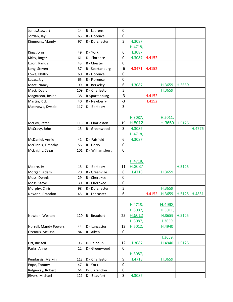| Jones, Stewart        | 14  | R - Laurens      | 0           |         |        |         |        |        |
|-----------------------|-----|------------------|-------------|---------|--------|---------|--------|--------|
| Jordan, Jay           | 63  | R - Florence     | 0           |         |        |         |        |        |
| Kimmons, Mandy        | 97  | R - Dorchester   | 3           | H.3087  |        |         |        |        |
|                       |     |                  |             | H.4718, |        |         |        |        |
| King, John            | 49  | D - York         | 6           | H.3087  |        |         |        |        |
| Kirby, Roger          | 61  | D - Florence     | 0           | H.3087  | H.4152 |         |        |        |
| Ligon, Randy          | 43  | R - Chester      | 0           |         |        |         |        |        |
| Long, Steven          | 37  | R - Spartanburg  | -6          | H.3471  | H.4152 |         |        |        |
| Lowe, Phillip         | 60  | R - Florence     | 0           |         |        |         |        |        |
| Lucas, Jay            | 65  | R - Florence     | 0           |         |        |         |        |        |
| Mace, Nancy           | 99  | R - Berkeley     | 6           | H.3087  |        | H.3659  | H.3659 |        |
| Mack, David           | 109 | D - Charleston   | 3           |         |        | H.3659  |        |        |
| Magnuson, Josiah      | 38  | R-Spartanburg    | $-3$        |         | H.4152 |         |        |        |
| Martin, Rick          | 40  | R - Newberry     | $-3$        |         | H.4152 |         |        |        |
| Matthews, Krystle     | 117 | D - Berkeley     | 3           |         |        |         |        |        |
|                       |     |                  |             |         |        |         |        |        |
|                       |     |                  |             | H.3087, |        | H.5011, |        |        |
| McCoy, Peter          | 115 | $R - Charleston$ | 19          | H.5012  |        | H.3659  | H.5125 |        |
| McCravy, John         | 13  | R - Greenwood    | 3           | H.3087  |        |         |        | H.4776 |
|                       |     |                  |             | H.4718, |        |         |        |        |
| McDaniel, Annie       | 41  | D - Fairfield    | 6           | H.3087  |        |         |        |        |
| McGinnis, Timothy     | 56  | R - Horry        | 0           |         |        |         |        |        |
| Mcknight, Cezar       | 101 | D - Williamsburg | 0           |         |        |         |        |        |
|                       |     |                  |             |         |        |         |        |        |
|                       |     |                  |             | H.4718, |        |         |        |        |
| Moore, JA             | 15  | D - Berkeley     | 11          | H.3087  |        |         | H.5125 |        |
| Morgan, Adam          | 20  | R - Greenville   | 6           | H.4718  |        | H.3659  |        |        |
| Moss, Dennis          | 29  | R - Cherokee     | 0           |         |        |         |        |        |
| Moss, Steve           | 30  | R - Cherokee     | 0           |         |        |         |        |        |
| Murphy, Chris         | 98  | R - Dorchester   | 3           |         |        | H.3659  |        |        |
| Newton, Brandon       | 45  | R - Lancaster    | 6           |         | H.4152 | H.3659  | H.5125 | H.4831 |
|                       |     |                  |             |         |        |         |        |        |
|                       |     |                  |             | H.4718, |        | H.4992, |        |        |
|                       |     |                  |             | H.3087, |        | H.5011, |        |        |
| Newton, Weston        | 120 | R - Beaufort     | 25          | H.5012  |        | H.3659  | H.5125 |        |
|                       |     |                  |             | H.3087, |        | H.3659, |        |        |
| Norrell, Mandy Powers | 44  | D - Lancaster    | 12          | H.5012, |        | H.4940  |        |        |
| Oremus, Melissa       | 84  | R - Aiken        | $\mathbf 0$ |         |        |         |        |        |
|                       |     |                  |             |         |        | H.3659, |        |        |
| Ott, Russell          | 93  | D- Calhoun       | 12          | H.3087  |        | H.4940  | H.5125 |        |
| Parks, Anne           | 12  | D - Greenwood    | 0           |         |        |         |        |        |
|                       |     |                  |             | H.3087, |        |         |        |        |
| Pendarvis, Marvin     | 113 | D - Charleston   | 9           | H.4718  |        | H.3659  |        |        |
| Pope, Tommy           | 47  | R - York         | 0           |         |        |         |        |        |
| Ridgeway, Robert      | 64  | D-Clarendon      | 0           |         |        |         |        |        |
| Rivers, Michael       | 121 | D - Beaufort     | 3           | H.3087  |        |         |        |        |
|                       |     |                  |             |         |        |         |        |        |